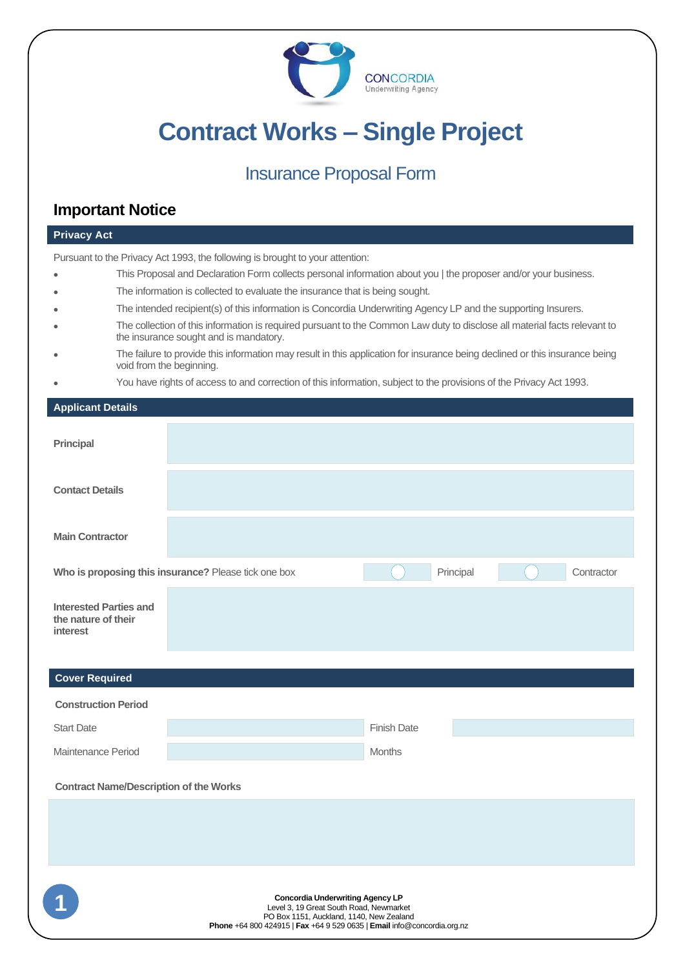

# **Contract Works – Single Project**

## Insurance Proposal Form

### **Important Notice**

| <b>Privacy Act</b>                                                            |                                                                                                                                                         |                                                                                                                                                                                                           |  |  |  |
|-------------------------------------------------------------------------------|---------------------------------------------------------------------------------------------------------------------------------------------------------|-----------------------------------------------------------------------------------------------------------------------------------------------------------------------------------------------------------|--|--|--|
| Pursuant to the Privacy Act 1993, the following is brought to your attention: |                                                                                                                                                         |                                                                                                                                                                                                           |  |  |  |
|                                                                               |                                                                                                                                                         | This Proposal and Declaration Form collects personal information about you   the proposer and/or your business.                                                                                           |  |  |  |
|                                                                               |                                                                                                                                                         | The information is collected to evaluate the insurance that is being sought.                                                                                                                              |  |  |  |
|                                                                               |                                                                                                                                                         | The intended recipient(s) of this information is Concordia Underwriting Agency LP and the supporting Insurers.                                                                                            |  |  |  |
|                                                                               |                                                                                                                                                         | The collection of this information is required pursuant to the Common Law duty to disclose all material facts relevant to<br>the insurance sought and is mandatory.                                       |  |  |  |
|                                                                               | The failure to provide this information may result in this application for insurance being declined or this insurance being<br>void from the beginning. |                                                                                                                                                                                                           |  |  |  |
|                                                                               |                                                                                                                                                         | You have rights of access to and correction of this information, subject to the provisions of the Privacy Act 1993.                                                                                       |  |  |  |
| <b>Applicant Details</b>                                                      |                                                                                                                                                         |                                                                                                                                                                                                           |  |  |  |
| <b>Principal</b>                                                              |                                                                                                                                                         |                                                                                                                                                                                                           |  |  |  |
| <b>Contact Details</b>                                                        |                                                                                                                                                         |                                                                                                                                                                                                           |  |  |  |
| <b>Main Contractor</b>                                                        |                                                                                                                                                         |                                                                                                                                                                                                           |  |  |  |
|                                                                               |                                                                                                                                                         | Who is proposing this insurance? Please tick one box<br>Principal<br>Contractor                                                                                                                           |  |  |  |
| <b>Interested Parties and</b><br>the nature of their<br><b>interest</b>       |                                                                                                                                                         |                                                                                                                                                                                                           |  |  |  |
|                                                                               |                                                                                                                                                         |                                                                                                                                                                                                           |  |  |  |
| <b>Cover Required</b>                                                         |                                                                                                                                                         |                                                                                                                                                                                                           |  |  |  |
| <b>Construction Period</b>                                                    |                                                                                                                                                         |                                                                                                                                                                                                           |  |  |  |
| <b>Start Date</b>                                                             |                                                                                                                                                         | <b>Finish Date</b>                                                                                                                                                                                        |  |  |  |
| Maintenance Period                                                            |                                                                                                                                                         | <b>Months</b>                                                                                                                                                                                             |  |  |  |
| <b>Contract Name/Description of the Works</b>                                 |                                                                                                                                                         |                                                                                                                                                                                                           |  |  |  |
|                                                                               |                                                                                                                                                         |                                                                                                                                                                                                           |  |  |  |
|                                                                               |                                                                                                                                                         |                                                                                                                                                                                                           |  |  |  |
|                                                                               |                                                                                                                                                         |                                                                                                                                                                                                           |  |  |  |
|                                                                               |                                                                                                                                                         | <b>Concordia Underwriting Agency LP</b><br>Level 3, 19 Great South Road, Newmarket<br>PO Box 1151, Auckland, 1140, New Zealand<br>Phone +64 800 424915   Fax +64 9 529 0635   Email info@concordia.org.nz |  |  |  |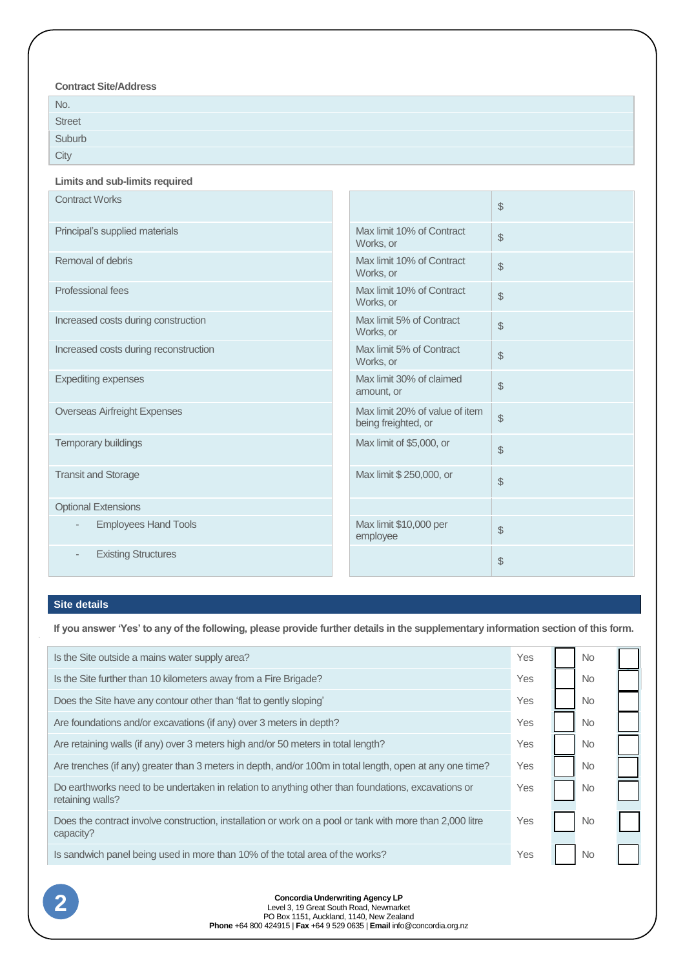#### **Contract Site/Address**

| No.                                                                        |  |
|----------------------------------------------------------------------------|--|
| Street<br>Suburb                                                           |  |
| the control of the control of the control of the control of the control of |  |
| City                                                                       |  |

#### **Limits and sub-limits required**

| <b>Contract Works</b>                                   |                                                       | \$            |
|---------------------------------------------------------|-------------------------------------------------------|---------------|
| Principal's supplied materials                          | Max limit 10% of Contract<br>Works, or                | \$            |
| Removal of debris                                       | Max limit 10% of Contract<br>Works, or                | \$            |
| Professional fees                                       | Max limit 10% of Contract<br>Works, or                | $\mathbb S$   |
| Increased costs during construction                     | Max limit 5% of Contract<br>Works, or                 | \$            |
| Increased costs during reconstruction                   | Max limit 5% of Contract<br>Works, or                 | \$            |
| <b>Expediting expenses</b>                              | Max limit 30% of claimed<br>amount, or                | $\frac{1}{2}$ |
| <b>Overseas Airfreight Expenses</b>                     | Max limit 20% of value of item<br>being freighted, or | \$            |
| Temporary buildings                                     | Max limit of \$5,000, or                              | $\frac{1}{2}$ |
| <b>Transit and Storage</b>                              | Max limit \$ 250,000, or                              | $\frac{1}{2}$ |
| <b>Optional Extensions</b>                              |                                                       |               |
| <b>Employees Hand Tools</b><br>$\overline{\phantom{a}}$ | Max limit \$10,000 per<br>employee                    | $\frac{1}{2}$ |
| <b>Existing Structures</b>                              |                                                       | \$            |

#### **Site details**

**If you answer 'Yes' to any of the following, please provide further details in the supplementary information section of this form.** 

| Is the Site outside a mains water supply area?                                                                                                   | Yes |  | <b>No</b> |  |
|--------------------------------------------------------------------------------------------------------------------------------------------------|-----|--|-----------|--|
| Is the Site further than 10 kilometers away from a Fire Brigade?                                                                                 | Yes |  | <b>No</b> |  |
| Does the Site have any contour other than 'flat to gently sloping'                                                                               | Yes |  | <b>No</b> |  |
| Are foundations and/or excavations (if any) over 3 meters in depth?                                                                              | Yes |  | <b>No</b> |  |
| Are retaining walls (if any) over 3 meters high and/or 50 meters in total length?                                                                | Yes |  | <b>No</b> |  |
| Are trenches (if any) greater than 3 meters in depth, and/or 100m in total length, open at any one time?                                         | Yes |  | <b>No</b> |  |
| Do earthworks need to be undertaken in relation to anything other than foundations, excavations or<br>retaining walls?                           | Yes |  | No        |  |
| Does the contract involve construction, installation or work on a pool or tank with more than 2,000 litre<br>capacity?                           | Yes |  | No        |  |
| Is sandwich panel being used in more than 10% of the total area of the works?                                                                    | Yes |  | No        |  |
| <b>Concordia Underwriting Agency LP</b><br>Level 3, 19 Great South Road, Newmarket<br>PO Box 1151, Auckland, 1140, New Zealand<br>$\blacksquare$ |     |  |           |  |

Level 3, 19 Great South Road, Newmarket PO Box 1151, Auckland, 1140, New Zealand **Phone** +64 800 424915 | **Fax** +64 9 529 0635 | **Email** info@concordia.org.nz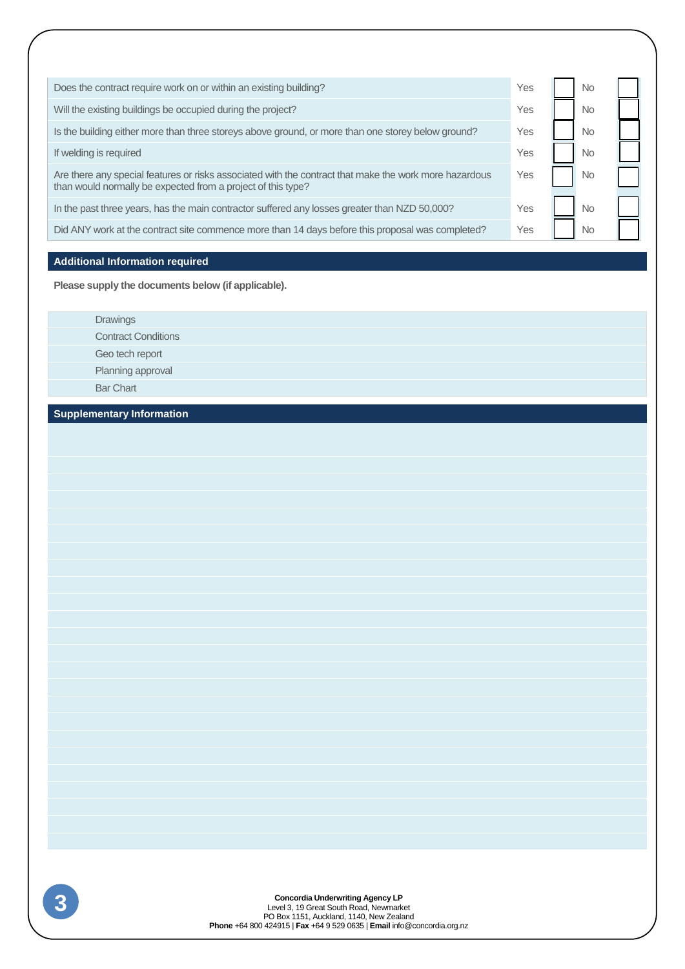| Does the contract require work on or within an existing building?                                                                                                      | Yes | No  |  |
|------------------------------------------------------------------------------------------------------------------------------------------------------------------------|-----|-----|--|
| Will the existing buildings be occupied during the project?                                                                                                            | Yes | No. |  |
| Is the building either more than three storeys above ground, or more than one storey below ground?                                                                     | Yes | No  |  |
| If welding is required                                                                                                                                                 | Yes | No  |  |
| Are there any special features or risks associated with the contract that make the work more hazardous<br>than would normally be expected from a project of this type? | Yes | No  |  |
| In the past three years, has the main contractor suffered any losses greater than NZD 50,000?                                                                          | Yes | No. |  |
| Did ANY work at the contract site commence more than 14 days before this proposal was completed?                                                                       | Yes | No  |  |
|                                                                                                                                                                        |     |     |  |
| <b>Additional Information required</b>                                                                                                                                 |     |     |  |

**Please supply the documents below (if applicable).**

Drawings Contract Conditions Geo tech report Planning approval Bar Chart

**Supplementary Information**